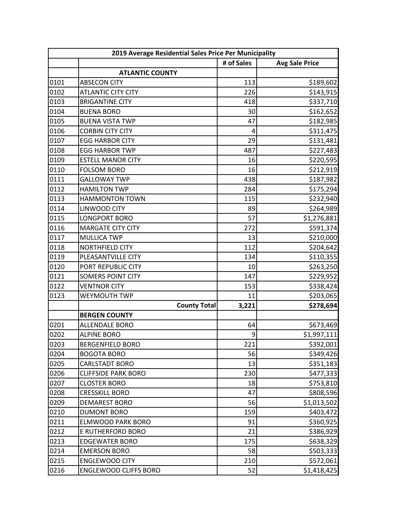|      | 2019 Average Residential Sales Price Per Municipality |            |                       |  |
|------|-------------------------------------------------------|------------|-----------------------|--|
|      |                                                       | # of Sales | <b>Avg Sale Price</b> |  |
|      | <b>ATLANTIC COUNTY</b>                                |            |                       |  |
| 0101 | <b>ABSECON CITY</b>                                   | 113        | \$189,602             |  |
| 0102 | <b>ATLANTIC CITY CITY</b>                             | 226        | \$143,915             |  |
| 0103 | <b>BRIGANTINE CITY</b>                                | 418        | \$337,710             |  |
| 0104 | <b>BUENA BORO</b>                                     | 30         | \$162,652             |  |
| 0105 | <b>BUENA VISTA TWP</b>                                | 47         | \$182,985             |  |
| 0106 | <b>CORBIN CITY CITY</b>                               | 4          | \$311,475             |  |
| 0107 | <b>EGG HARBOR CITY</b>                                | 29         | \$131,481             |  |
| 0108 | <b>EGG HARBOR TWP</b>                                 | 487        | \$227,483             |  |
| 0109 | <b>ESTELL MANOR CITY</b>                              | 16         | \$220,595             |  |
| 0110 | <b>FOLSOM BORO</b>                                    | 16         | \$212,919             |  |
| 0111 | <b>GALLOWAY TWP</b>                                   | 438        | \$187,982             |  |
| 0112 | <b>HAMILTON TWP</b>                                   | 284        | \$175,294             |  |
| 0113 | <b>HAMMONTON TOWN</b>                                 | 115        | \$232,940             |  |
| 0114 | LINWOOD CITY                                          | 89         | \$264,989             |  |
| 0115 | <b>LONGPORT BORO</b>                                  | 57         | \$1,276,881           |  |
| 0116 | <b>MARGATE CITY CITY</b>                              | 272        | \$591,374             |  |
| 0117 | <b>MULLICA TWP</b>                                    | 13         | \$210,000             |  |
| 0118 | NORTHFIELD CITY                                       | 112        | \$204,642             |  |
| 0119 | PLEASANTVILLE CITY                                    | 134        | \$110,355             |  |
| 0120 | PORT REPUBLIC CITY                                    | 10         | \$263,250             |  |
| 0121 | <b>SOMERS POINT CITY</b>                              | 147        | \$229,952             |  |
| 0122 | <b>VENTNOR CITY</b>                                   | 153        | \$338,424             |  |
| 0123 | WEYMOUTH TWP                                          | 11         | \$203,065             |  |
|      | <b>County Total</b>                                   | 3,221      | \$278,694             |  |
|      | <b>BERGEN COUNTY</b>                                  |            |                       |  |
| 0201 | ALLENDALE BORO                                        | 64         | \$673,469             |  |
| 0202 | <b>ALPINE BORO</b>                                    | 9          | \$1,997,111           |  |
| 0203 | <b>BERGENFIELD BORO</b>                               | 221        | \$392,001             |  |
| 0204 | <b>BOGOTA BORO</b>                                    | 56         | \$349,426             |  |
| 0205 | <b>CARLSTADT BORO</b>                                 | 13         | \$351,183             |  |
| 0206 | <b>CLIFFSIDE PARK BORO</b>                            | 230        | \$477,333             |  |
| 0207 | <b>CLOSTER BORO</b>                                   | 18         | \$753,810             |  |
| 0208 | <b>CRESSKILL BORO</b>                                 | 47         | \$808,596             |  |
| 0209 | <b>DEMAREST BORO</b>                                  | 56         | \$1,013,502           |  |
| 0210 | <b>DUMONT BORO</b>                                    | 159        | \$403,472             |  |
| 0211 | <b>ELMWOOD PARK BORO</b>                              | 91         | \$360,925             |  |
| 0212 | E RUTHERFORD BORO                                     | 21         | \$386,929             |  |
| 0213 | <b>EDGEWATER BORO</b>                                 | 175        | \$638,329             |  |
| 0214 | <b>EMERSON BORO</b>                                   | 58         | \$503,333             |  |
| 0215 | <b>ENGLEWOOD CITY</b>                                 | 210        | \$572,061             |  |
| 0216 | <b>ENGLEWOOD CLIFFS BORO</b>                          | 52         | \$1,418,425           |  |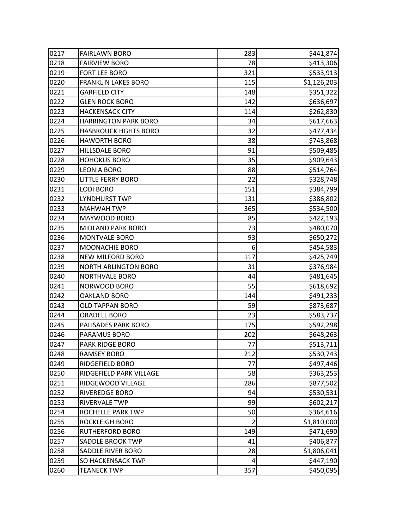| 0217 | <b>FAIRLAWN BORO</b>        | 283 | \$441,874   |
|------|-----------------------------|-----|-------------|
| 0218 | <b>FAIRVIEW BORO</b>        | 78  | \$413,306   |
| 0219 | FORT LEE BORO               | 321 | \$533,913   |
| 0220 | <b>FRANKLIN LAKES BORO</b>  | 115 | \$1,126,203 |
| 0221 | <b>GARFIELD CITY</b>        | 148 | \$351,322   |
| 0222 | <b>GLEN ROCK BORO</b>       | 142 | \$636,697   |
| 0223 | <b>HACKENSACK CITY</b>      | 114 | \$262,830   |
| 0224 | <b>HARRINGTON PARK BORO</b> | 34  | \$617,663   |
| 0225 | <b>HASBROUCK HGHTS BORO</b> | 32  | \$477,434   |
| 0226 | <b>HAWORTH BORO</b>         | 38  | \$743,868   |
| 0227 | HILLSDALE BORO              | 91  | \$509,485   |
| 0228 | <b>HOHOKUS BORO</b>         | 35  | \$909,643   |
| 0229 | <b>LEONIA BORO</b>          | 88  | \$514,764   |
| 0230 | <b>LITTLE FERRY BORO</b>    | 22  | \$328,748   |
| 0231 | <b>LODI BORO</b>            | 151 | \$384,799   |
| 0232 | <b>LYNDHURST TWP</b>        | 131 | \$386,802   |
| 0233 | <b>MAHWAH TWP</b>           | 365 | \$534,500   |
| 0234 | MAYWOOD BORO                | 85  | \$422,193   |
| 0235 | <b>MIDLAND PARK BORO</b>    | 73  | \$480,070   |
| 0236 | <b>MONTVALE BORO</b>        | 93  | \$650,272   |
| 0237 | <b>MOONACHIE BORO</b>       | 6   | \$454,583   |
| 0238 | <b>NEW MILFORD BORO</b>     | 117 | \$425,749   |
| 0239 | <b>NORTH ARLINGTON BORO</b> | 31  | \$376,984   |
| 0240 | <b>NORTHVALE BORO</b>       | 44  | \$481,645   |
| 0241 | NORWOOD BORO                | 55  | \$618,692   |
| 0242 | <b>OAKLAND BORO</b>         | 144 | \$491,233   |
| 0243 | <b>OLD TAPPAN BORO</b>      | 59  | \$873,687   |
| 0244 | <b>ORADELL BORO</b>         | 23  | \$583,737   |
| 0245 | PALISADES PARK BORO         | 175 | \$592,298   |
| 0246 | PARAMUS BORO                | 202 | \$648,263   |
| 0247 | PARK RIDGE BORO             | 77  | \$513,711   |
| 0248 | <b>RAMSEY BORO</b>          | 212 | \$530,743   |
| 0249 | RIDGEFIELD BORO             | 77  | \$497,446   |
| 0250 | RIDGEFIELD PARK VILLAGE     | 58  | \$363,253   |
| 0251 | RIDGEWOOD VILLAGE           | 286 | \$877,502   |
| 0252 | RIVEREDGE BORO              | 94  | \$530,531   |
| 0253 | RIVERVALE TWP               | 99  | \$602,217   |
| 0254 | ROCHELLE PARK TWP           | 50  | \$364,616   |
| 0255 | <b>ROCKLEIGH BORO</b>       | 2   | \$1,810,000 |
| 0256 | <b>RUTHERFORD BORO</b>      | 149 | \$471,690   |
| 0257 | SADDLE BROOK TWP            | 41  | \$406,877   |
| 0258 | SADDLE RIVER BORO           | 28  | \$1,806,041 |
| 0259 | SO HACKENSACK TWP           | 4   | \$447,190   |
| 0260 | <b>TEANECK TWP</b>          | 357 | \$450,095   |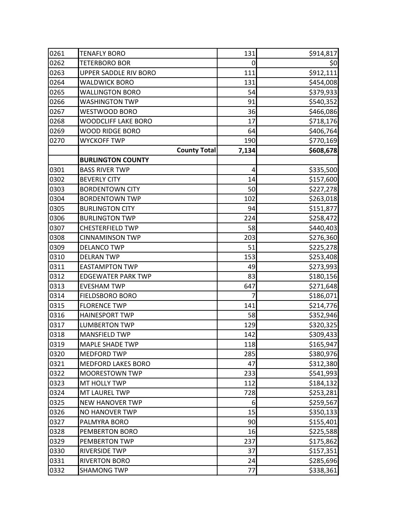| 0261 | <b>TENAFLY BORO</b>        | 131   | \$914,817 |
|------|----------------------------|-------|-----------|
| 0262 | <b>TETERBORO BOR</b>       | 0     | \$0       |
| 0263 | UPPER SADDLE RIV BORO      | 111   | \$912,111 |
| 0264 | <b>WALDWICK BORO</b>       | 131   | \$454,008 |
| 0265 | <b>WALLINGTON BORO</b>     | 54    | \$379,933 |
| 0266 | <b>WASHINGTON TWP</b>      | 91    | \$540,352 |
| 0267 | WESTWOOD BORO              | 36    | \$466,086 |
| 0268 | <b>WOODCLIFF LAKE BORO</b> | 17    | \$718,176 |
| 0269 | <b>WOOD RIDGE BORO</b>     | 64    | \$406,764 |
| 0270 | <b>WYCKOFF TWP</b>         | 190   | \$770,169 |
|      | <b>County Total</b>        | 7,134 | \$608,678 |
|      | <b>BURLINGTON COUNTY</b>   |       |           |
| 0301 | <b>BASS RIVER TWP</b>      | 4     | \$335,500 |
| 0302 | <b>BEVERLY CITY</b>        | 14    | \$157,600 |
| 0303 | <b>BORDENTOWN CITY</b>     | 50    | \$227,278 |
| 0304 | <b>BORDENTOWN TWP</b>      | 102   | \$263,018 |
| 0305 | <b>BURLINGTON CITY</b>     | 94    | \$151,877 |
| 0306 | <b>BURLINGTON TWP</b>      | 224   | \$258,472 |
| 0307 | <b>CHESTERFIELD TWP</b>    | 58    | \$440,403 |
| 0308 | <b>CINNAMINSON TWP</b>     | 203   | \$276,360 |
| 0309 | <b>DELANCO TWP</b>         | 51    | \$225,278 |
| 0310 | <b>DELRAN TWP</b>          | 153   | \$253,408 |
| 0311 | <b>EASTAMPTON TWP</b>      | 49    | \$273,993 |
| 0312 | <b>EDGEWATER PARK TWP</b>  | 83    | \$180,156 |
| 0313 | <b>EVESHAM TWP</b>         | 647   | \$271,648 |
| 0314 | FIELDSBORO BORO            | 7     | \$186,071 |
| 0315 | <b>FLORENCE TWP</b>        | 141   | \$214,776 |
| 0316 | <b>HAINESPORT TWP</b>      | 58    | \$352,946 |
| 0317 | <b>LUMBERTON TWP</b>       | 129   | \$320,325 |
| 0318 | <b>MANSFIELD TWP</b>       | 142   | \$309,433 |
| 0319 | <b>MAPLE SHADE TWP</b>     | 118   | \$165,947 |
| 0320 | <b>MEDFORD TWP</b>         | 285   | \$380,976 |
| 0321 | <b>MEDFORD LAKES BORO</b>  | 47    | \$312,380 |
| 0322 | <b>MOORESTOWN TWP</b>      | 233   | \$541,993 |
| 0323 | MT HOLLY TWP               | 112   | \$184,132 |
| 0324 | MT LAUREL TWP              | 728   | \$253,281 |
| 0325 | <b>NEW HANOVER TWP</b>     | 6     | \$259,567 |
| 0326 | NO HANOVER TWP             | 15    | \$350,133 |
| 0327 | PALMYRA BORO               | 90    | \$155,401 |
| 0328 | PEMBERTON BORO             | 16    | \$225,588 |
| 0329 | PEMBERTON TWP              | 237   | \$175,862 |
| 0330 | RIVERSIDE TWP              | 37    | \$157,351 |
| 0331 | <b>RIVERTON BORO</b>       | 24    | \$285,696 |
| 0332 | <b>SHAMONG TWP</b>         | 77    | \$338,361 |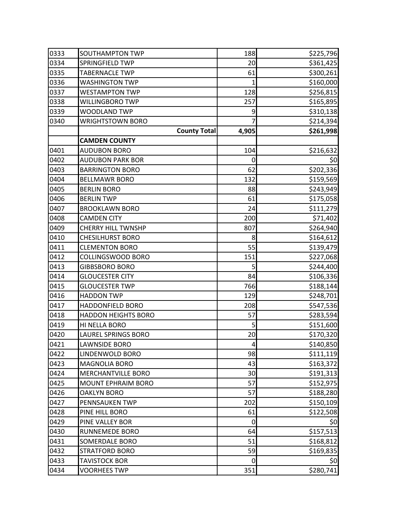| 0333 | SOUTHAMPTON TWP            | 188   | \$225,796 |
|------|----------------------------|-------|-----------|
| 0334 | SPRINGFIELD TWP            | 20    | \$361,425 |
| 0335 | <b>TABERNACLE TWP</b>      | 61    | \$300,261 |
| 0336 | <b>WASHINGTON TWP</b>      | 1     | \$160,000 |
| 0337 | <b>WESTAMPTON TWP</b>      | 128   | \$256,815 |
| 0338 | WILLINGBORO TWP            | 257   | \$165,895 |
| 0339 | WOODLAND TWP               | 9     | \$310,138 |
| 0340 | <b>WRIGHTSTOWN BORO</b>    |       | \$214,394 |
|      | <b>County Total</b>        | 4,905 | \$261,998 |
|      | <b>CAMDEN COUNTY</b>       |       |           |
| 0401 | <b>AUDUBON BORO</b>        | 104   | \$216,632 |
| 0402 | <b>AUDUBON PARK BOR</b>    | 0     | 50        |
| 0403 | <b>BARRINGTON BORO</b>     | 62    | \$202,336 |
| 0404 | <b>BELLMAWR BORO</b>       | 132   | \$159,569 |
| 0405 | <b>BERLIN BORO</b>         | 88    | \$243,949 |
| 0406 | <b>BERLIN TWP</b>          | 61    | \$175,058 |
| 0407 | <b>BROOKLAWN BORO</b>      | 24    | \$111,279 |
| 0408 | <b>CAMDEN CITY</b>         | 200   | \$71,402  |
| 0409 | <b>CHERRY HILL TWNSHP</b>  | 807   | \$264,940 |
| 0410 | <b>CHESILHURST BORO</b>    | 8     | \$164,612 |
| 0411 | <b>CLEMENTON BORO</b>      | 55    | \$139,479 |
| 0412 | <b>COLLINGSWOOD BORO</b>   | 151   | \$227,068 |
| 0413 | <b>GIBBSBORO BORO</b>      | 5     | \$244,400 |
| 0414 | <b>GLOUCESTER CITY</b>     | 84    | \$106,336 |
| 0415 | <b>GLOUCESTER TWP</b>      | 766   | \$188,144 |
| 0416 | <b>HADDON TWP</b>          | 129   | \$248,701 |
| 0417 | <b>HADDONFIELD BORO</b>    | 208   | \$547,536 |
| 0418 | <b>HADDON HEIGHTS BORO</b> | 57    | \$283,594 |
| 0419 | HI NELLA BORO              | 5     | \$151,600 |
| 0420 | LAUREL SPRINGS BORO        | 20    | \$170,320 |
| 0421 | <b>LAWNSIDE BORO</b>       | 4     | \$140,850 |
| 0422 | LINDENWOLD BORO            | 98    | \$111,119 |
| 0423 | MAGNOLIA BORO              | 43    | \$163,372 |
| 0424 | MERCHANTVILLE BORO         | 30    | \$191,313 |
| 0425 | <b>MOUNT EPHRAIM BORO</b>  | 57    | \$152,975 |
| 0426 | <b>OAKLYN BORO</b>         | 57    | \$188,280 |
| 0427 | PENNSAUKEN TWP             | 202   | \$150,109 |
| 0428 | PINE HILL BORO             | 61    | \$122,508 |
| 0429 | PINE VALLEY BOR            | 0     | \$0       |
| 0430 | <b>RUNNEMEDE BORO</b>      | 64    | \$157,513 |
| 0431 | SOMERDALE BORO             | 51    | \$168,812 |
| 0432 | <b>STRATFORD BORO</b>      | 59    | \$169,835 |
| 0433 | <b>TAVISTOCK BOR</b>       | 0     | \$0       |
| 0434 | <b>VOORHEES TWP</b>        | 351   | \$280,741 |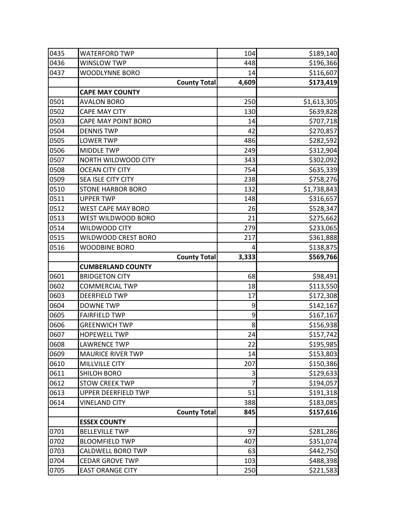| 0435 | <b>WATERFORD TWP</b>      | 104   | \$189,140   |
|------|---------------------------|-------|-------------|
| 0436 | <b>WINSLOW TWP</b>        | 448   | \$196,366   |
| 0437 | WOODLYNNE BORO            | 14    | \$116,607   |
|      | <b>County Total</b>       | 4,609 | \$173,419   |
|      | <b>CAPE MAY COUNTY</b>    |       |             |
| 0501 | <b>AVALON BORO</b>        | 250   | \$1,613,305 |
| 0502 | <b>CAPE MAY CITY</b>      | 130   | \$639,828   |
| 0503 | CAPE MAY POINT BORO       | 14    | \$707,718   |
| 0504 | <b>DENNIS TWP</b>         | 42    | \$270,857   |
| 0505 | <b>LOWER TWP</b>          | 486   | \$282,592   |
| 0506 | <b>MIDDLE TWP</b>         | 249   | \$312,904   |
| 0507 | NORTH WILDWOOD CITY       | 343   | \$302,092   |
| 0508 | <b>OCEAN CITY CITY</b>    | 754   | \$635,339   |
| 0509 | SEA ISLE CITY CITY        | 238   | \$758,276   |
| 0510 | <b>STONE HARBOR BORO</b>  | 132   | \$1,738,843 |
| 0511 | <b>UPPER TWP</b>          | 148   | \$316,657   |
| 0512 | <b>WEST CAPE MAY BORO</b> | 26    | \$528,347   |
| 0513 | WEST WILDWOOD BORO        | 21    | \$275,662   |
| 0514 | WILDWOOD CITY             | 279   | \$233,065   |
| 0515 | WILDWOOD CREST BORO       | 217   | \$361,888   |
| 0516 | <b>WOODBINE BORO</b>      | 4     | \$138,875   |
|      | <b>County Total</b>       | 3,333 | \$569,766   |
|      | <b>CUMBERLAND COUNTY</b>  |       |             |
| 0601 | <b>BRIDGETON CITY</b>     | 68    | \$98,491    |
| 0602 | <b>COMMERCIAL TWP</b>     | 18    | \$113,550   |
| 0603 | <b>DEERFIELD TWP</b>      | 17    | \$172,308   |
| 0604 | <b>DOWNE TWP</b>          | 9     | \$142,167   |
| 0605 | <b>FAIRFIELD TWP</b>      | 9     | \$167,167   |
| 0606 | <b>GREENWICH TWP</b>      | 8     | \$156,938   |
| 0607 | <b>HOPEWELL TWP</b>       | 24    | \$157,742   |
| 0608 | <b>LAWRENCE TWP</b>       | 22    | \$195,985   |
| 0609 | <b>MAURICE RIVER TWP</b>  | 14    | \$153,803   |
| 0610 | MILLVILLE CITY            | 207   | \$150,386   |
| 0611 | <b>SHILOH BORO</b>        | 3     | \$129,633   |
| 0612 | <b>STOW CREEK TWP</b>     | 7     | \$194,057   |
| 0613 | UPPER DEERFIELD TWP       | 51    | \$191,318   |
| 0614 | <b>VINELAND CITY</b>      | 388   | \$183,085   |
|      | <b>County Total</b>       | 845   | \$157,616   |
|      | <b>ESSEX COUNTY</b>       |       |             |
| 0701 | <b>BELLEVILLE TWP</b>     | 97    | \$281,286   |
| 0702 | <b>BLOOMFIELD TWP</b>     | 407   | \$351,074   |
| 0703 | <b>CALDWELL BORO TWP</b>  | 63    | \$442,750   |
| 0704 | <b>CEDAR GROVE TWP</b>    | 103   | \$488,398   |
| 0705 | <b>EAST ORANGE CITY</b>   | 250   | \$221,583   |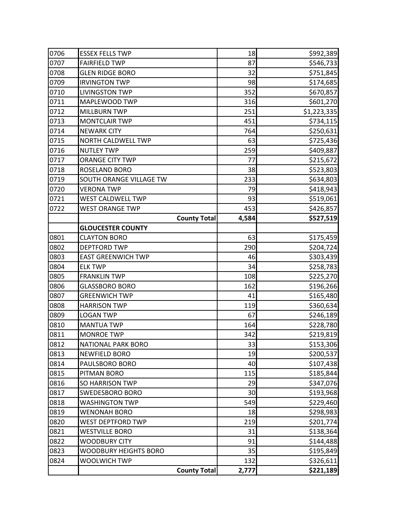| 0706 | <b>ESSEX FELLS TWP</b>       | 18    | \$992,389   |
|------|------------------------------|-------|-------------|
| 0707 | <b>FAIRFIELD TWP</b>         | 87    | \$546,733   |
| 0708 | <b>GLEN RIDGE BORO</b>       | 32    | \$751,845   |
| 0709 | <b>IRVINGTON TWP</b>         | 98    | \$174,685   |
| 0710 | <b>LIVINGSTON TWP</b>        | 352   | \$670,857   |
| 0711 | MAPLEWOOD TWP                | 316   | \$601,270   |
| 0712 | <b>MILLBURN TWP</b>          | 251   | \$1,223,335 |
| 0713 | <b>MONTCLAIR TWP</b>         | 451   | \$734,115   |
| 0714 | <b>NEWARK CITY</b>           | 764   | \$250,631   |
| 0715 | NORTH CALDWELL TWP           | 63    | \$725,436   |
| 0716 | <b>NUTLEY TWP</b>            | 259   | \$409,887   |
| 0717 | <b>ORANGE CITY TWP</b>       | 77    | \$215,672   |
| 0718 | ROSELAND BORO                | 38    | \$523,803   |
| 0719 | SOUTH ORANGE VILLAGE TW      | 233   | \$634,803   |
| 0720 | <b>VERONA TWP</b>            | 79    | \$418,943   |
| 0721 | WEST CALDWELL TWP            | 93    | \$519,061   |
| 0722 | <b>WEST ORANGE TWP</b>       | 453   | \$426,857   |
|      | <b>County Total</b>          | 4,584 | \$527,519   |
|      | <b>GLOUCESTER COUNTY</b>     |       |             |
| 0801 | <b>CLAYTON BORO</b>          | 63    | \$175,459   |
| 0802 | <b>DEPTFORD TWP</b>          | 290   | \$204,724   |
| 0803 | <b>EAST GREENWICH TWP</b>    | 46    | \$303,439   |
| 0804 | <b>ELK TWP</b>               | 34    | \$258,783   |
| 0805 | <b>FRANKLIN TWP</b>          | 108   | \$225,270   |
| 0806 | <b>GLASSBORO BORO</b>        | 162   | \$196,266   |
| 0807 | <b>GREENWICH TWP</b>         | 41    | \$165,480   |
| 0808 | <b>HARRISON TWP</b>          | 119   | \$360,634   |
| 0809 | <b>LOGAN TWP</b>             | 67    | \$246,189   |
| 0810 | <b>MANTUA TWP</b>            | 164   | \$228,780   |
| 0811 | <b>MONROE TWP</b>            | 342   | \$219,819   |
| 0812 | <b>NATIONAL PARK BORO</b>    | 33    | \$153,306   |
| 0813 | <b>NEWFIELD BORO</b>         | 19    | \$200,537   |
| 0814 | PAULSBORO BORO               | 40    | \$107,438   |
| 0815 | PITMAN BORO                  | 115   | \$185,844   |
| 0816 | SO HARRISON TWP              | 29    | \$347,076   |
| 0817 | <b>SWEDESBORO BORO</b>       | 30    | \$193,968   |
| 0818 | <b>WASHINGTON TWP</b>        | 549   | \$229,460   |
| 0819 | <b>WENONAH BORO</b>          | 18    | \$298,983   |
| 0820 | <b>WEST DEPTFORD TWP</b>     | 219   | \$201,774   |
| 0821 | <b>WESTVILLE BORO</b>        | 31    | \$138,364   |
| 0822 | <b>WOODBURY CITY</b>         | 91    | \$144,488   |
| 0823 | <b>WOODBURY HEIGHTS BORO</b> | 35    | \$195,849   |
| 0824 | <b>WOOLWICH TWP</b>          | 132   | \$326,611   |
|      | <b>County Total</b>          | 2,777 | \$221,189   |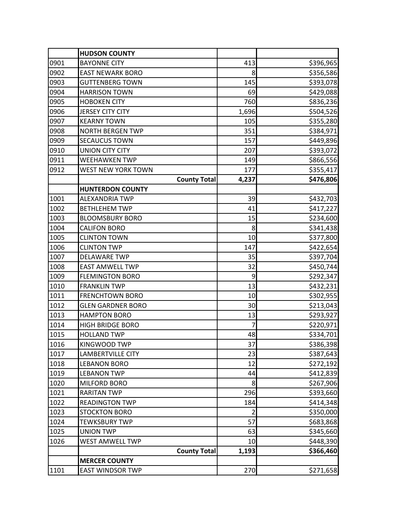|      | <b>HUDSON COUNTY</b>     |                |           |
|------|--------------------------|----------------|-----------|
| 0901 | <b>BAYONNE CITY</b>      | 413            | \$396,965 |
| 0902 | <b>EAST NEWARK BORO</b>  | 8              | \$356,586 |
| 0903 | <b>GUTTENBERG TOWN</b>   | 145            | \$393,078 |
| 0904 | <b>HARRISON TOWN</b>     | 69             | \$429,088 |
| 0905 | <b>HOBOKEN CITY</b>      | 760            | \$836,236 |
| 0906 | <b>JERSEY CITY CITY</b>  | 1,696          | \$504,526 |
| 0907 | <b>KEARNY TOWN</b>       | 105            | \$355,280 |
| 0908 | <b>NORTH BERGEN TWP</b>  | 351            | \$384,971 |
| 0909 | <b>SECAUCUS TOWN</b>     | 157            | \$449,896 |
| 0910 | <b>UNION CITY CITY</b>   | 207            | \$393,072 |
| 0911 | <b>WEEHAWKEN TWP</b>     | 149            | \$866,556 |
| 0912 | WEST NEW YORK TOWN       | 177            | \$355,417 |
|      | <b>County Total</b>      | 4,237          | \$476,806 |
|      | <b>HUNTERDON COUNTY</b>  |                |           |
| 1001 | <b>ALEXANDRIA TWP</b>    | 39             | \$432,703 |
| 1002 | <b>BETHLEHEM TWP</b>     | 41             | \$417,227 |
| 1003 | <b>BLOOMSBURY BORO</b>   | 15             | \$234,600 |
| 1004 | <b>CALIFON BORO</b>      | 8              | \$341,438 |
| 1005 | <b>CLINTON TOWN</b>      | 10             | \$377,800 |
| 1006 | <b>CLINTON TWP</b>       | 147            | \$422,654 |
| 1007 | <b>DELAWARE TWP</b>      | 35             | \$397,704 |
| 1008 | <b>EAST AMWELL TWP</b>   | 32             | \$450,744 |
| 1009 | <b>FLEMINGTON BORO</b>   | 9              | \$292,347 |
| 1010 | <b>FRANKLIN TWP</b>      | 13             | \$432,231 |
| 1011 | <b>FRENCHTOWN BORO</b>   | 10             | \$302,955 |
| 1012 | <b>GLEN GARDNER BORO</b> | 30             | \$213,043 |
| 1013 | <b>HAMPTON BORO</b>      | 13             | \$293,927 |
| 1014 | <b>HIGH BRIDGE BORO</b>  | 7              | \$220,971 |
| 1015 | <b>HOLLAND TWP</b>       | 48             | \$334,701 |
| 1016 | KINGWOOD TWP             | 37             | \$386,398 |
| 1017 | <b>LAMBERTVILLE CITY</b> | 23             | \$387,643 |
| 1018 | <b>LEBANON BORO</b>      | 12             | \$272,192 |
| 1019 | <b>LEBANON TWP</b>       | 44             | \$412,839 |
| 1020 | MILFORD BORO             | 8              | \$267,906 |
| 1021 | <b>RARITAN TWP</b>       | 296            | \$393,660 |
| 1022 | <b>READINGTON TWP</b>    | 184            | \$414,348 |
| 1023 | <b>STOCKTON BORO</b>     | $\overline{2}$ | \$350,000 |
| 1024 | <b>TEWKSBURY TWP</b>     | 57             | \$683,868 |
| 1025 | <b>UNION TWP</b>         | 63             | \$345,660 |
| 1026 | WEST AMWELL TWP          | 10             | \$448,390 |
|      | <b>County Total</b>      | 1,193          | \$366,460 |
|      | <b>MERCER COUNTY</b>     |                |           |
| 1101 | <b>EAST WINDSOR TWP</b>  | 270            | \$271,658 |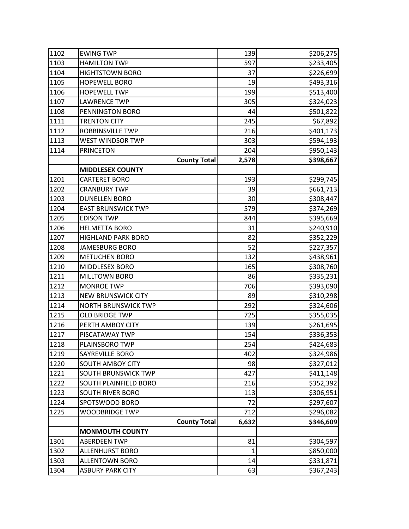| 1102 | <b>EWING TWP</b>           | 139          | \$206,275 |
|------|----------------------------|--------------|-----------|
| 1103 | <b>HAMILTON TWP</b>        | 597          | \$233,405 |
| 1104 | <b>HIGHTSTOWN BORO</b>     | 37           | \$226,699 |
| 1105 | <b>HOPEWELL BORO</b>       | 19           | \$493,316 |
| 1106 | <b>HOPEWELL TWP</b>        | 199          | \$513,400 |
| 1107 | <b>LAWRENCE TWP</b>        | 305          | \$324,023 |
| 1108 | PENNINGTON BORO            | 44           | \$501,822 |
| 1111 | <b>TRENTON CITY</b>        | 245          | \$67,892  |
| 1112 | ROBBINSVILLE TWP           | 216          | \$401,173 |
| 1113 | <b>WEST WINDSOR TWP</b>    | 303          | \$594,193 |
| 1114 | <b>PRINCETON</b>           | 204          | \$950,143 |
|      | <b>County Total</b>        | 2,578        | \$398,667 |
|      | <b>MIDDLESEX COUNTY</b>    |              |           |
| 1201 | <b>CARTERET BORO</b>       | 193          | \$299,745 |
| 1202 | <b>CRANBURY TWP</b>        | 39           | \$661,713 |
| 1203 | <b>DUNELLEN BORO</b>       | 30           | \$308,447 |
| 1204 | <b>EAST BRUNSWICK TWP</b>  | 579          | \$374,269 |
| 1205 | <b>EDISON TWP</b>          | 844          | \$395,669 |
| 1206 | <b>HELMETTA BORO</b>       | 31           | \$240,910 |
| 1207 | <b>HIGHLAND PARK BORO</b>  | 82           | \$352,229 |
| 1208 | JAMESBURG BORO             | 52           | \$227,357 |
| 1209 | <b>METUCHEN BORO</b>       | 132          | \$438,961 |
| 1210 | MIDDLESEX BORO             | 165          | \$308,760 |
| 1211 | <b>MILLTOWN BORO</b>       | 86           | \$335,231 |
| 1212 | <b>MONROE TWP</b>          | 706          | \$393,090 |
| 1213 | <b>NEW BRUNSWICK CITY</b>  | 89           | \$310,298 |
| 1214 | <b>NORTH BRUNSWICK TWP</b> | 292          | \$324,606 |
| 1215 | <b>OLD BRIDGE TWP</b>      | 725          | \$355,035 |
| 1216 | PERTH AMBOY CITY           | 139          | \$261,695 |
| 1217 | PISCATAWAY TWP             | 154          | \$336,353 |
| 1218 | PLAINSBORO TWP             | 254          | \$424,683 |
| 1219 | SAYREVILLE BORO            | 402          | \$324,986 |
| 1220 | <b>SOUTH AMBOY CITY</b>    | 98           | \$327,012 |
| 1221 | SOUTH BRUNSWICK TWP        | 427          | \$411,148 |
| 1222 | SOUTH PLAINFIELD BORO      | 216          | \$352,392 |
| 1223 | <b>SOUTH RIVER BORO</b>    | 113          | \$306,951 |
| 1224 | SPOTSWOOD BORO             | 72           | \$297,607 |
| 1225 | <b>WOODBRIDGE TWP</b>      | 712          | \$296,082 |
|      | <b>County Total</b>        | 6,632        | \$346,609 |
|      | <b>MONMOUTH COUNTY</b>     |              |           |
| 1301 | <b>ABERDEEN TWP</b>        | 81           | \$304,597 |
| 1302 | <b>ALLENHURST BORO</b>     | $\mathbf{1}$ | \$850,000 |
| 1303 | <b>ALLENTOWN BORO</b>      | 14           | \$331,871 |
| 1304 | <b>ASBURY PARK CITY</b>    | 63           | \$367,243 |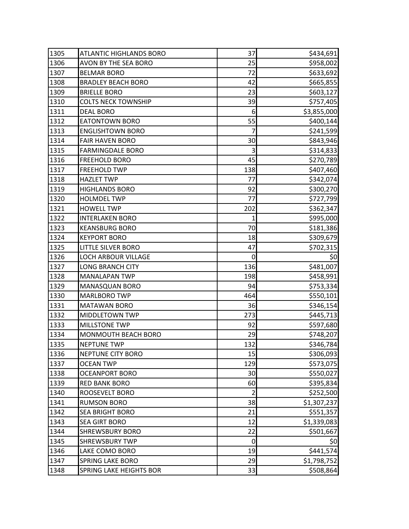| 1305 | <b>ATLANTIC HIGHLANDS BORO</b> | 37  | \$434,691   |
|------|--------------------------------|-----|-------------|
| 1306 | AVON BY THE SEA BORO           | 25  | \$958,002   |
| 1307 | <b>BELMAR BORO</b>             | 72  | \$633,692   |
| 1308 | <b>BRADLEY BEACH BORO</b>      | 42  | \$665,855   |
| 1309 | <b>BRIELLE BORO</b>            | 23  | \$603,127   |
| 1310 | <b>COLTS NECK TOWNSHIP</b>     | 39  | \$757,405   |
| 1311 | <b>DEAL BORO</b>               | 6   | \$3,855,000 |
| 1312 | <b>EATONTOWN BORO</b>          | 55  | \$400,144   |
| 1313 | <b>ENGLISHTOWN BORO</b>        | 7   | \$241,599   |
| 1314 | <b>FAIR HAVEN BORO</b>         | 30  | \$843,946   |
| 1315 | <b>FARMINGDALE BORO</b>        | 3   | \$314,833   |
| 1316 | <b>FREEHOLD BORO</b>           | 45  | \$270,789   |
| 1317 | <b>FREEHOLD TWP</b>            | 138 | \$407,460   |
| 1318 | <b>HAZLET TWP</b>              | 77  | \$342,074   |
| 1319 | <b>HIGHLANDS BORO</b>          | 92  | \$300,270   |
| 1320 | <b>HOLMDEL TWP</b>             | 77  | \$727,799   |
| 1321 | <b>HOWELL TWP</b>              | 202 | \$362,347   |
| 1322 | <b>INTERLAKEN BORO</b>         | 1   | \$995,000   |
| 1323 | <b>KEANSBURG BORO</b>          | 70  | \$181,386   |
| 1324 | <b>KEYPORT BORO</b>            | 18  | \$309,679   |
| 1325 | <b>LITTLE SILVER BORO</b>      | 47  | \$702,315   |
| 1326 | <b>LOCH ARBOUR VILLAGE</b>     | 0   | 50          |
| 1327 | <b>LONG BRANCH CITY</b>        | 136 | \$481,007   |
| 1328 | <b>MANALAPAN TWP</b>           | 198 | \$458,991   |
| 1329 | <b>MANASQUAN BORO</b>          | 94  | \$753,334   |
| 1330 | <b>MARLBORO TWP</b>            | 464 | \$550,101   |
| 1331 | <b>MATAWAN BORO</b>            | 36  | \$346,154   |
| 1332 | <b>MIDDLETOWN TWP</b>          | 273 | \$445,713   |
| 1333 | <b>MILLSTONE TWP</b>           | 92  | \$597,680   |
| 1334 | MONMOUTH BEACH BORO            | 29  | \$748,207   |
| 1335 | <b>NEPTUNE TWP</b>             | 132 | \$346,784   |
| 1336 | <b>NEPTUNE CITY BORO</b>       | 15  | \$306,093   |
| 1337 | <b>OCEAN TWP</b>               | 129 | \$573,075   |
| 1338 | <b>OCEANPORT BORO</b>          | 30  | \$550,027   |
| 1339 | <b>RED BANK BORO</b>           | 60  | \$395,834   |
| 1340 | ROOSEVELT BORO                 | 2   | \$252,500   |
| 1341 | <b>RUMSON BORO</b>             | 38  | \$1,307,237 |
| 1342 | <b>SEA BRIGHT BORO</b>         | 21  | \$551,357   |
| 1343 | <b>SEA GIRT BORO</b>           | 12  | \$1,339,083 |
| 1344 | <b>SHREWSBURY BORO</b>         | 22  | \$501,667   |
| 1345 | <b>SHREWSBURY TWP</b>          | 0   | 50          |
| 1346 | LAKE COMO BORO                 | 19  | \$441,574   |
| 1347 | <b>SPRING LAKE BORO</b>        | 29  | \$1,798,752 |
| 1348 | SPRING LAKE HEIGHTS BOR        | 33  | \$508,864   |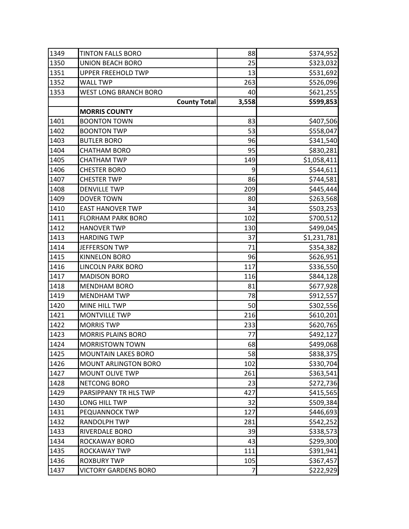| 1349 | <b>TINTON FALLS BORO</b>     | 88    | \$374,952   |
|------|------------------------------|-------|-------------|
| 1350 | <b>UNION BEACH BORO</b>      | 25    | \$323,032   |
| 1351 | <b>UPPER FREEHOLD TWP</b>    | 13    | \$531,692   |
| 1352 | <b>WALL TWP</b>              | 263   | \$526,096   |
| 1353 | <b>WEST LONG BRANCH BORO</b> | 40    | \$621,255   |
|      | <b>County Total</b>          | 3,558 | \$599,853   |
|      | <b>MORRIS COUNTY</b>         |       |             |
| 1401 | <b>BOONTON TOWN</b>          | 83    | \$407,506   |
| 1402 | <b>BOONTON TWP</b>           | 53    | \$558,047   |
| 1403 | <b>BUTLER BORO</b>           | 96    | \$341,540   |
| 1404 | <b>CHATHAM BORO</b>          | 95    | \$830,281   |
| 1405 | <b>CHATHAM TWP</b>           | 149   | \$1,058,411 |
| 1406 | <b>CHESTER BORO</b>          | 9     | \$544,611   |
| 1407 | <b>CHESTER TWP</b>           | 86    | \$744,581   |
| 1408 | <b>DENVILLE TWP</b>          | 209   | \$445,444   |
| 1409 | <b>DOVER TOWN</b>            | 80    | \$263,568   |
| 1410 | <b>EAST HANOVER TWP</b>      | 34    | \$503,253   |
| 1411 | <b>FLORHAM PARK BORO</b>     | 102   | \$700,512   |
| 1412 | <b>HANOVER TWP</b>           | 130   | \$499,045   |
| 1413 | <b>HARDING TWP</b>           | 37    | \$1,231,781 |
| 1414 | <b>JEFFERSON TWP</b>         | 71    | \$354,382   |
| 1415 | <b>KINNELON BORO</b>         | 96    | \$626,951   |
| 1416 | <b>LINCOLN PARK BORO</b>     | 117   | \$336,550   |
| 1417 | <b>MADISON BORO</b>          | 116   | \$844,128   |
| 1418 | <b>MENDHAM BORO</b>          | 81    | \$677,928   |
| 1419 | <b>MENDHAM TWP</b>           | 78    | \$912,557   |
| 1420 | MINE HILL TWP                | 50    | \$302,556   |
| 1421 | <b>MONTVILLE TWP</b>         | 216   | \$610,201   |
| 1422 | <b>MORRIS TWP</b>            | 233   | \$620,765   |
| 1423 | <b>MORRIS PLAINS BORO</b>    | 77    | \$492,127   |
| 1424 | <b>MORRISTOWN TOWN</b>       | 68    | \$499,068   |
| 1425 | <b>MOUNTAIN LAKES BORO</b>   | 58    | \$838,375   |
| 1426 | <b>MOUNT ARLINGTON BORO</b>  | 102   | \$330,704   |
| 1427 | <b>MOUNT OLIVE TWP</b>       | 261   | \$363,541   |
| 1428 | NETCONG BORO                 | 23    | \$272,736   |
| 1429 | PARSIPPANY TR HLS TWP        | 427   | \$415,565   |
| 1430 | LONG HILL TWP                | 32    | \$509,384   |
| 1431 | PEQUANNOCK TWP               | 127   | \$446,693   |
| 1432 | RANDOLPH TWP                 | 281   | \$542,252   |
| 1433 | RIVERDALE BORO               | 39    | \$338,573   |
| 1434 | ROCKAWAY BORO                | 43    | \$299,300   |
| 1435 | ROCKAWAY TWP                 | 111   | \$391,941   |
| 1436 | <b>ROXBURY TWP</b>           | 105   | \$367,457   |
| 1437 | <b>VICTORY GARDENS BORO</b>  | 7     | \$222,929   |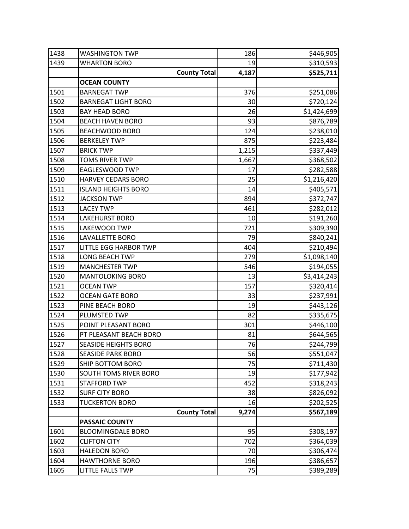| 1438 | <b>WASHINGTON TWP</b>        | 186   | \$446,905   |
|------|------------------------------|-------|-------------|
| 1439 | <b>WHARTON BORO</b>          | 19    | \$310,593   |
|      | <b>County Total</b>          | 4,187 | \$525,711   |
|      | <b>OCEAN COUNTY</b>          |       |             |
| 1501 | <b>BARNEGAT TWP</b>          | 376   | \$251,086   |
| 1502 | <b>BARNEGAT LIGHT BORO</b>   | 30    | \$720,124   |
| 1503 | <b>BAY HEAD BORO</b>         | 26    | \$1,424,699 |
| 1504 | <b>BEACH HAVEN BORO</b>      | 93    | \$876,789   |
| 1505 | <b>BEACHWOOD BORO</b>        | 124   | \$238,010   |
| 1506 | <b>BERKELEY TWP</b>          | 875   | \$223,484   |
| 1507 | <b>BRICK TWP</b>             | 1,215 | \$337,449   |
| 1508 | <b>TOMS RIVER TWP</b>        | 1,667 | \$368,502   |
| 1509 | EAGLESWOOD TWP               | 17    | \$282,588   |
| 1510 | <b>HARVEY CEDARS BORO</b>    | 25    | \$1,216,420 |
| 1511 | <b>ISLAND HEIGHTS BORO</b>   | 14    | \$405,571   |
| 1512 | <b>JACKSON TWP</b>           | 894   | \$372,747   |
| 1513 | <b>LACEY TWP</b>             | 461   | \$282,012   |
| 1514 | <b>LAKEHURST BORO</b>        | 10    | \$191,260   |
| 1515 | LAKEWOOD TWP                 | 721   | \$309,390   |
| 1516 | <b>LAVALLETTE BORO</b>       | 79    | \$840,241   |
| 1517 | <b>LITTLE EGG HARBOR TWP</b> | 404   | \$210,494   |
| 1518 | <b>LONG BEACH TWP</b>        | 279   | \$1,098,140 |
| 1519 | <b>MANCHESTER TWP</b>        | 546   | \$194,055   |
| 1520 | <b>MANTOLOKING BORO</b>      | 13    | \$3,414,243 |
| 1521 | <b>OCEAN TWP</b>             | 157   | \$320,414   |
| 1522 | <b>OCEAN GATE BORO</b>       | 33    | \$237,991   |
| 1523 | PINE BEACH BORO              | 19    | \$443,126   |
| 1524 | PLUMSTED TWP                 | 82    | \$335,675   |
| 1525 | POINT PLEASANT BORO          | 301   | \$446,100   |
| 1526 | PT PLEASANT BEACH BORO       | 81    | \$644,565   |
| 1527 | <b>SEASIDE HEIGHTS BORO</b>  | 76    | \$244,799   |
| 1528 | <b>SEASIDE PARK BORO</b>     | 56    | \$551,047   |
| 1529 | SHIP BOTTOM BORO             | 75    | \$711,430   |
| 1530 | SOUTH TOMS RIVER BORO        | 19    | \$177,942   |
| 1531 | <b>STAFFORD TWP</b>          | 452   | \$318,243   |
| 1532 | <b>SURF CITY BORO</b>        | 38    | \$826,092   |
| 1533 | <b>TUCKERTON BORO</b>        | 16    | \$202,525   |
|      | <b>County Total</b>          | 9,274 | \$567,189   |
|      | <b>PASSAIC COUNTY</b>        |       |             |
| 1601 | <b>BLOOMINGDALE BORO</b>     | 95    | \$308,197   |
| 1602 | <b>CLIFTON CITY</b>          | 702   | \$364,039   |
| 1603 | <b>HALEDON BORO</b>          | 70    | \$306,474   |
| 1604 | <b>HAWTHORNE BORO</b>        | 196   | \$386,657   |
| 1605 | <b>LITTLE FALLS TWP</b>      | 75    | \$389,289   |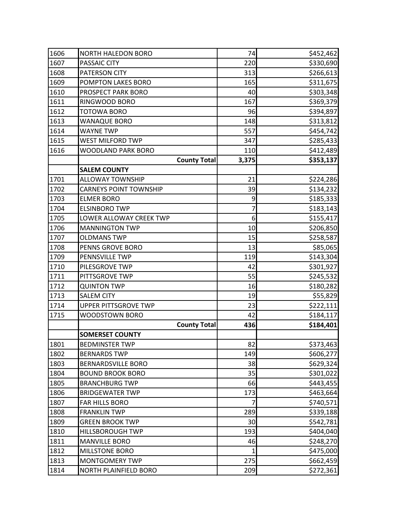| 1606 | <b>NORTH HALEDON BORO</b>     | 74    | \$452,462 |
|------|-------------------------------|-------|-----------|
| 1607 | PASSAIC CITY                  | 220   | \$330,690 |
| 1608 | PATERSON CITY                 | 313   | \$266,613 |
| 1609 | POMPTON LAKES BORO            | 165   | \$311,675 |
| 1610 | PROSPECT PARK BORO            | 40    | \$303,348 |
| 1611 | RINGWOOD BORO                 | 167   | \$369,379 |
| 1612 | <b>TOTOWA BORO</b>            | 96    | \$394,897 |
| 1613 | <b>WANAQUE BORO</b>           | 148   | \$313,812 |
| 1614 | <b>WAYNE TWP</b>              | 557   | \$454,742 |
| 1615 | <b>WEST MILFORD TWP</b>       | 347   | \$285,433 |
| 1616 | WOODLAND PARK BORO            | 110   | \$412,489 |
|      | <b>County Total</b>           | 3,375 | \$353,137 |
|      | <b>SALEM COUNTY</b>           |       |           |
| 1701 | <b>ALLOWAY TOWNSHIP</b>       | 21    | \$224,286 |
| 1702 | <b>CARNEYS POINT TOWNSHIP</b> | 39    | \$134,232 |
| 1703 | <b>ELMER BORO</b>             | 9     | \$185,333 |
| 1704 | <b>ELSINBORO TWP</b>          | 7     | \$183,143 |
| 1705 | LOWER ALLOWAY CREEK TWP       | 6     | \$155,417 |
| 1706 | <b>MANNINGTON TWP</b>         | 10    | \$206,850 |
| 1707 | <b>OLDMANS TWP</b>            | 15    | \$258,587 |
| 1708 | PENNS GROVE BORO              | 13    | \$85,065  |
| 1709 | PENNSVILLE TWP                | 119   | \$143,304 |
| 1710 | PILESGROVE TWP                | 42    | \$301,927 |
| 1711 | PITTSGROVE TWP                | 55    | \$245,532 |
| 1712 | <b>QUINTON TWP</b>            | 16    | \$180,282 |
| 1713 | <b>SALEM CITY</b>             | 19    | \$55,829  |
| 1714 | <b>UPPER PITTSGROVE TWP</b>   | 23    | \$222,111 |
| 1715 | WOODSTOWN BORO                | 42    | \$184,117 |
|      | <b>County Total</b>           | 436   | \$184,401 |
|      | <b>SOMERSET COUNTY</b>        |       |           |
| 1801 | <b>BEDMINSTER TWP</b>         | 82    | \$373,463 |
| 1802 | <b>BERNARDS TWP</b>           | 149   | \$606,277 |
| 1803 | <b>BERNARDSVILLE BORO</b>     | 38    | \$629,324 |
| 1804 | <b>BOUND BROOK BORO</b>       | 35    | \$301,022 |
| 1805 | <b>BRANCHBURG TWP</b>         | 66    | \$443,455 |
| 1806 | <b>BRIDGEWATER TWP</b>        | 173   | \$463,664 |
| 1807 | FAR HILLS BORO                |       | \$740,571 |
| 1808 | <b>FRANKLIN TWP</b>           | 289   | \$339,188 |
| 1809 | <b>GREEN BROOK TWP</b>        | 30    | \$542,781 |
| 1810 | <b>HILLSBOROUGH TWP</b>       | 193   | \$404,040 |
| 1811 | <b>MANVILLE BORO</b>          | 46    | \$248,270 |
| 1812 | <b>MILLSTONE BORO</b>         | 1     | \$475,000 |
| 1813 | <b>MONTGOMERY TWP</b>         | 275   | \$662,459 |
| 1814 | NORTH PLAINFIELD BORO         | 209   | \$272,361 |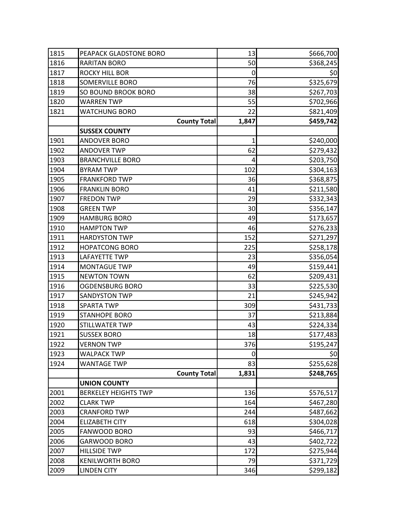| 1815 | PEAPACK GLADSTONE BORO      | 13          | \$666,700 |
|------|-----------------------------|-------------|-----------|
| 1816 | <b>RARITAN BORO</b>         | 50          | \$368,245 |
| 1817 | <b>ROCKY HILL BOR</b>       | 0           | 50        |
| 1818 | <b>SOMERVILLE BORO</b>      | 76          | \$325,679 |
| 1819 | SO BOUND BROOK BORO         | 38          | \$267,703 |
| 1820 | <b>WARREN TWP</b>           | 55          | \$702,966 |
| 1821 | <b>WATCHUNG BORO</b>        | 22          | \$821,409 |
|      | <b>County Total</b>         | 1,847       | \$459,742 |
|      | <b>SUSSEX COUNTY</b>        |             |           |
| 1901 | <b>ANDOVER BORO</b>         | 1           | \$240,000 |
| 1902 | <b>ANDOVER TWP</b>          | 62          | \$279,432 |
| 1903 | <b>BRANCHVILLE BORO</b>     | 4           | \$203,750 |
| 1904 | <b>BYRAM TWP</b>            | 102         | \$304,163 |
| 1905 | <b>FRANKFORD TWP</b>        | 36          | \$368,875 |
| 1906 | <b>FRANKLIN BORO</b>        | 41          | \$211,580 |
| 1907 | <b>FREDON TWP</b>           | 29          | \$332,343 |
| 1908 | <b>GREEN TWP</b>            | 30          | \$356,147 |
| 1909 | <b>HAMBURG BORO</b>         | 49          | \$173,657 |
| 1910 | <b>HAMPTON TWP</b>          | 46          | \$276,233 |
| 1911 | <b>HARDYSTON TWP</b>        | 152         | \$271,297 |
| 1912 | <b>HOPATCONG BORO</b>       | 225         | \$258,178 |
| 1913 | <b>LAFAYETTE TWP</b>        | 23          | \$356,054 |
| 1914 | <b>MONTAGUE TWP</b>         | 49          | \$159,441 |
| 1915 | <b>NEWTON TOWN</b>          | 62          | \$209,431 |
| 1916 | <b>OGDENSBURG BORO</b>      | 33          | \$225,530 |
| 1917 | <b>SANDYSTON TWP</b>        | 21          | \$245,942 |
| 1918 | <b>SPARTA TWP</b>           | 309         | \$431,733 |
| 1919 | <b>STANHOPE BORO</b>        | 37          | \$213,884 |
| 1920 | STILLWATER TWP              | 43          | \$224,334 |
| 1921 | <b>SUSSEX BORO</b>          | 18          | \$177,483 |
| 1922 | <b>VERNON TWP</b>           | 376         | \$195,247 |
| 1923 | <b>WALPACK TWP</b>          | $\mathbf 0$ | 50        |
| 1924 | <b>WANTAGE TWP</b>          | 83          | \$255,628 |
|      | <b>County Total</b>         | 1,831       | \$248,765 |
|      | <b>UNION COUNTY</b>         |             |           |
| 2001 | <b>BERKELEY HEIGHTS TWP</b> | 136         | \$576,517 |
| 2002 | <b>CLARK TWP</b>            | 164         | \$467,280 |
| 2003 | <b>CRANFORD TWP</b>         | 244         | \$487,662 |
| 2004 | <b>ELIZABETH CITY</b>       | 618         | \$304,028 |
| 2005 | <b>FANWOOD BORO</b>         | 93          | \$466,717 |
| 2006 | GARWOOD BORO                | 43          | \$402,722 |
| 2007 | <b>HILLSIDE TWP</b>         | 172         | \$275,944 |
| 2008 | <b>KENILWORTH BORO</b>      | 79          | \$371,729 |
| 2009 | <b>LINDEN CITY</b>          | 346         | \$299,182 |